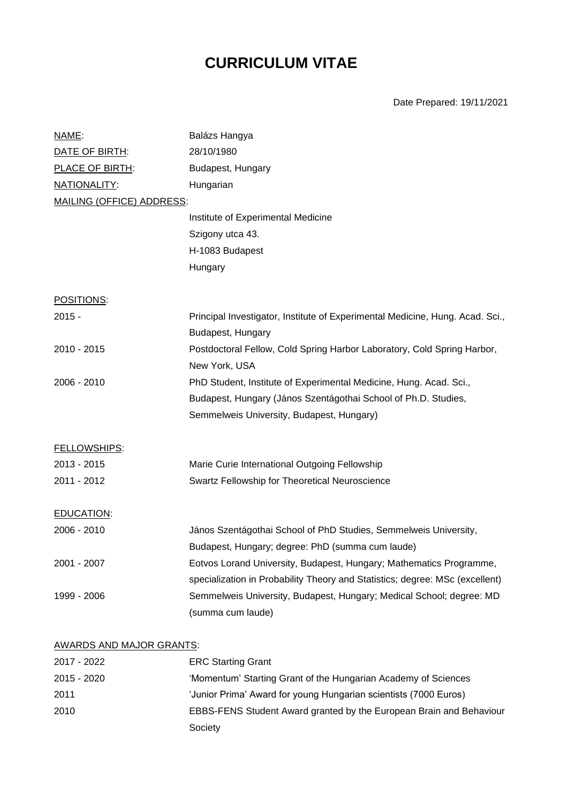# **CURRICULUM VITAE**

Date Prepared: 19/11/2021

| <u>NAME:</u>                     | Balázs Hangya                                                                 |  |
|----------------------------------|-------------------------------------------------------------------------------|--|
| DATE OF BIRTH:                   | 28/10/1980                                                                    |  |
| PLACE OF BIRTH:                  | Budapest, Hungary                                                             |  |
| NATIONALITY:                     | Hungarian                                                                     |  |
| <b>MAILING (OFFICE) ADDRESS:</b> |                                                                               |  |
|                                  | Institute of Experimental Medicine                                            |  |
|                                  | Szigony utca 43.                                                              |  |
|                                  | H-1083 Budapest                                                               |  |
|                                  | Hungary                                                                       |  |
| POSITIONS:                       |                                                                               |  |
| $2015 -$                         | Principal Investigator, Institute of Experimental Medicine, Hung. Acad. Sci., |  |
|                                  | Budapest, Hungary                                                             |  |
| 2010 - 2015                      | Postdoctoral Fellow, Cold Spring Harbor Laboratory, Cold Spring Harbor,       |  |
|                                  | New York, USA                                                                 |  |
| 2006 - 2010                      | PhD Student, Institute of Experimental Medicine, Hung. Acad. Sci.,            |  |
|                                  | Budapest, Hungary (János Szentágothai School of Ph.D. Studies,                |  |
|                                  | Semmelweis University, Budapest, Hungary)                                     |  |
| <b>FELLOWSHIPS:</b>              |                                                                               |  |
| 2013 - 2015                      | Marie Curie International Outgoing Fellowship                                 |  |
| 2011 - 2012                      | Swartz Fellowship for Theoretical Neuroscience                                |  |
| EDUCATION:                       |                                                                               |  |
| 2006 - 2010                      | János Szentágothai School of PhD Studies, Semmelweis University,              |  |
|                                  | Budapest, Hungary; degree: PhD (summa cum laude)                              |  |
| 2001 - 2007                      | Eotvos Lorand University, Budapest, Hungary; Mathematics Programme,           |  |
|                                  | specialization in Probability Theory and Statistics; degree: MSc (excellent)  |  |
| 1999 - 2006                      | Semmelweis University, Budapest, Hungary; Medical School; degree: MD          |  |
|                                  | (summa cum laude)                                                             |  |
| <b>AWARDS AND MAJOR GRANTS:</b>  |                                                                               |  |
| 2017 - 2022                      | <b>ERC Starting Grant</b>                                                     |  |

| $2015 - 2020$ | 'Momentum' Starting Grant of the Hungarian Academy of Sciences      |
|---------------|---------------------------------------------------------------------|
| 2011          | 'Junior Prima' Award for young Hungarian scientists (7000 Euros)    |
| 2010          | EBBS-FENS Student Award granted by the European Brain and Behaviour |
|               | Society                                                             |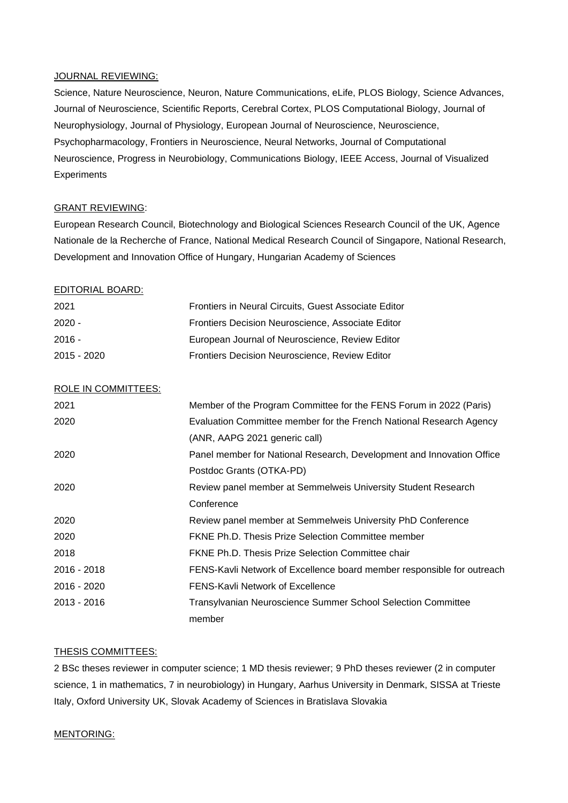#### JOURNAL REVIEWING:

Science, Nature Neuroscience, Neuron, Nature Communications, eLife, PLOS Biology, Science Advances, Journal of Neuroscience, Scientific Reports, Cerebral Cortex, PLOS Computational Biology, Journal of Neurophysiology, Journal of Physiology, European Journal of Neuroscience, Neuroscience, Psychopharmacology, Frontiers in Neuroscience, Neural Networks, Journal of Computational Neuroscience, Progress in Neurobiology, Communications Biology, IEEE Access, Journal of Visualized **Experiments** 

# GRANT REVIEWING:

European Research Council, Biotechnology and Biological Sciences Research Council of the UK, Agence Nationale de la Recherche of France, National Medical Research Council of Singapore, National Research, Development and Innovation Office of Hungary, Hungarian Academy of Sciences

### EDITORIAL BOARD:

| 2021          | Frontiers in Neural Circuits, Guest Associate Editor |
|---------------|------------------------------------------------------|
| $2020 -$      | Frontiers Decision Neuroscience, Associate Editor    |
| $2016 -$      | European Journal of Neuroscience, Review Editor      |
| $2015 - 2020$ | Frontiers Decision Neuroscience, Review Editor       |

## ROLE IN COMMITTEES:

| 2021        | Member of the Program Committee for the FENS Forum in 2022 (Paris)     |
|-------------|------------------------------------------------------------------------|
| 2020        | Evaluation Committee member for the French National Research Agency    |
|             | (ANR, AAPG 2021 generic call)                                          |
| 2020        | Panel member for National Research, Development and Innovation Office  |
|             | Postdoc Grants (OTKA-PD)                                               |
| 2020        | Review panel member at Semmelweis University Student Research          |
|             | Conference                                                             |
| 2020        | Review panel member at Semmelweis University PhD Conference            |
| 2020        | <b>FKNE Ph.D. Thesis Prize Selection Committee member</b>              |
| 2018        | <b>FKNE Ph.D. Thesis Prize Selection Committee chair</b>               |
| 2016 - 2018 | FENS-Kavli Network of Excellence board member responsible for outreach |
| 2016 - 2020 | <b>FENS-Kavli Network of Excellence</b>                                |
| 2013 - 2016 | Transylvanian Neuroscience Summer School Selection Committee           |
|             | member                                                                 |

#### THESIS COMMITTEES:

2 BSc theses reviewer in computer science; 1 MD thesis reviewer; 9 PhD theses reviewer (2 in computer science, 1 in mathematics, 7 in neurobiology) in Hungary, Aarhus University in Denmark, SISSA at Trieste Italy, Oxford University UK, Slovak Academy of Sciences in Bratislava Slovakia

#### MENTORING: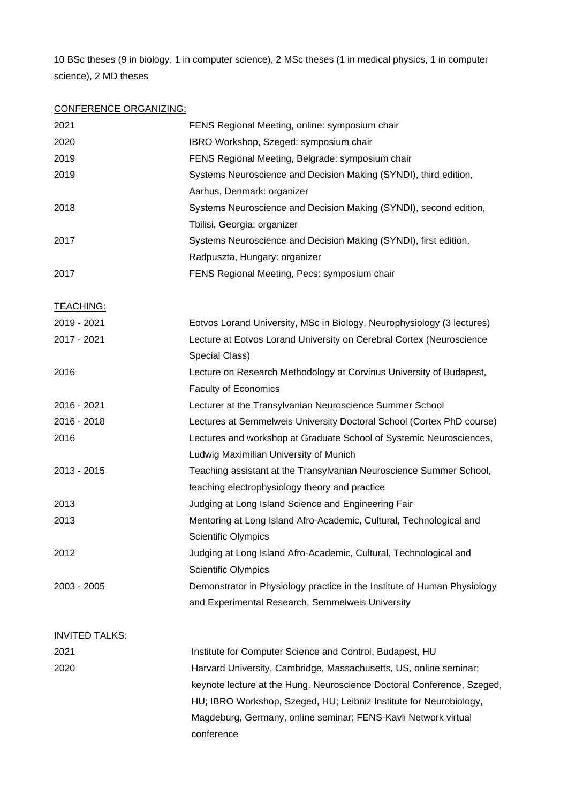10 BSc theses (9 in biology, 1 in computer science), 2 MSc theses (1 in medical physics, 1 in computer science), 2 MD theses

# CONFERENCE ORGANIZING:

| 2021                  | FENS Regional Meeting, online: symposium chair                           |
|-----------------------|--------------------------------------------------------------------------|
| 2020                  | IBRO Workshop, Szeged: symposium chair                                   |
| 2019                  | FENS Regional Meeting, Belgrade: symposium chair                         |
| 2019                  | Systems Neuroscience and Decision Making (SYNDI), third edition,         |
|                       | Aarhus, Denmark: organizer                                               |
| 2018                  | Systems Neuroscience and Decision Making (SYNDI), second edition,        |
|                       | Tbilisi, Georgia: organizer                                              |
| 2017                  | Systems Neuroscience and Decision Making (SYNDI), first edition,         |
|                       | Radpuszta, Hungary: organizer                                            |
| 2017                  | FENS Regional Meeting, Pecs: symposium chair                             |
| <b>TEACHING:</b>      |                                                                          |
| 2019 - 2021           | Eotvos Lorand University, MSc in Biology, Neurophysiology (3 lectures)   |
| 2017 - 2021           | Lecture at Eotvos Lorand University on Cerebral Cortex (Neuroscience     |
|                       | Special Class)                                                           |
| 2016                  | Lecture on Research Methodology at Corvinus University of Budapest,      |
|                       | Faculty of Economics                                                     |
| 2016 - 2021           | Lecturer at the Transylvanian Neuroscience Summer School                 |
| 2016 - 2018           | Lectures at Semmelweis University Doctoral School (Cortex PhD course)    |
| 2016                  | Lectures and workshop at Graduate School of Systemic Neurosciences,      |
|                       | Ludwig Maximilian University of Munich                                   |
| 2013 - 2015           | Teaching assistant at the Transylvanian Neuroscience Summer School,      |
|                       | teaching electrophysiology theory and practice                           |
| 2013                  | Judging at Long Island Science and Engineering Fair                      |
| 2013                  | Mentoring at Long Island Afro-Academic, Cultural, Technological and      |
|                       | <b>Scientific Olympics</b>                                               |
| 2012                  | Judging at Long Island Afro-Academic, Cultural, Technological and        |
|                       | Scientific Olympics                                                      |
| 2003 - 2005           | Demonstrator in Physiology practice in the Institute of Human Physiology |
|                       | and Experimental Research, Semmelweis University                         |
| <b>INVITED TALKS:</b> |                                                                          |
| 2021                  | Institute for Computer Science and Control, Budapest, HU                 |
| 2020                  | Harvard University, Cambridge, Massachusetts, US, online seminar;        |
|                       | keynote lecture at the Hung. Neuroscience Doctoral Conference, Szeged,   |
|                       | HU; IBRO Workshop, Szeged, HU; Leibniz Institute for Neurobiology,       |
|                       | Magdeburg, Germany, online seminar; FENS-Kavli Network virtual           |
|                       | conference                                                               |
|                       |                                                                          |